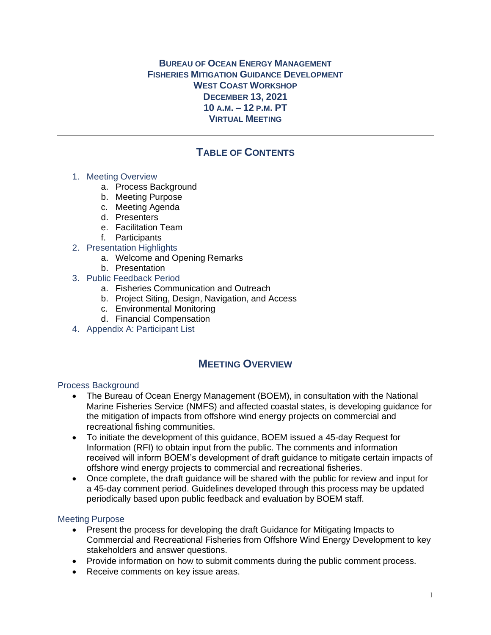### **BUREAU OF OCEAN ENERGY MANAGEMENT FISHERIES MITIGATION GUIDANCE DEVELOPMENT WEST COAST WORKSHOP DECEMBER 13, 2021 10 A.M. – 12 P.M. PT VIRTUAL MEETING**

# **TABLE OF CONTENTS**

#### 1. Meeting Overview

- a. Process Background
- b. Meeting Purpose
- c. Meeting Agenda
- d. Presenters
- e. Facilitation Team
- f. Participants
- 2. Presentation Highlights
	- a. Welcome and Opening Remarks
	- b. Presentation
- 3. Public Feedback Period
	- a. Fisheries Communication and Outreach
	- b. Project Siting, Design, Navigation, and Access
	- c. Environmental Monitoring
	- d. Financial Compensation
- 4. Appendix A: Participant List

## **MEETING OVERVIEW**

#### Process Background

- The Bureau of Ocean Energy Management (BOEM), in consultation with the National Marine Fisheries Service (NMFS) and affected coastal states, is developing guidance for the mitigation of impacts from offshore wind energy projects on commercial and recreational fishing communities.
- To initiate the development of this guidance, BOEM issued a 45-day Request for Information (RFI) to obtain input from the public. The comments and information received will inform BOEM's development of draft guidance to mitigate certain impacts of offshore wind energy projects to commercial and recreational fisheries.
- Once complete, the draft guidance will be shared with the public for review and input for a 45-day comment period. Guidelines developed through this process may be updated periodically based upon public feedback and evaluation by BOEM staff.

#### Meeting Purpose

- Present the process for developing the draft Guidance for Mitigating Impacts to Commercial and Recreational Fisheries from Offshore Wind Energy Development to key stakeholders and answer questions.
- Provide information on how to submit comments during the public comment process.
- Receive comments on key issue areas.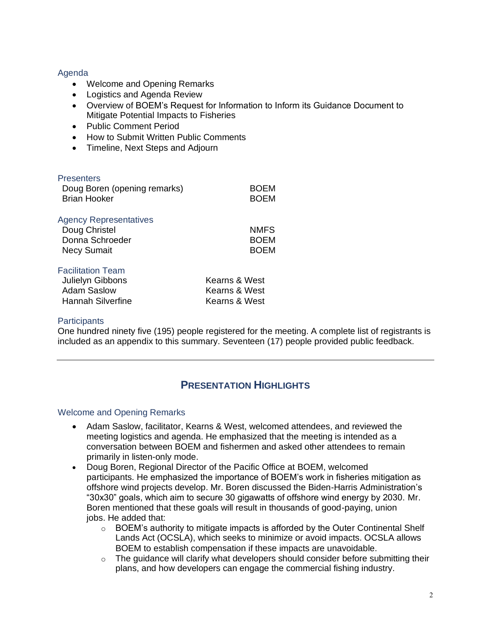#### Agenda

- Welcome and Opening Remarks
- Logistics and Agenda Review
- Overview of BOEM's Request for Information to Inform its Guidance Document to Mitigate Potential Impacts to Fisheries
- Public Comment Period
- How to Submit Written Public Comments
- Timeline, Next Steps and Adjourn

| <b>Presenters</b><br>Doug Boren (opening remarks)<br><b>Brian Hooker</b>                | <b>BOEM</b><br><b>BOEM</b>                      |
|-----------------------------------------------------------------------------------------|-------------------------------------------------|
| <b>Agency Representatives</b><br>Doug Christel<br>Donna Schroeder<br><b>Necy Sumait</b> | NMFS.<br><b>BOEM</b><br><b>BOEM</b>             |
| <b>Facilitation Team</b><br>Julielyn Gibbons<br><b>Adam Saslow</b><br>Hannah Silverfine | Kearns & West<br>Kearns & West<br>Kearns & West |

#### **Participants**

One hundred ninety five (195) people registered for the meeting. A complete list of registrants is included as an appendix to this summary. Seventeen (17) people provided public feedback.

## **PRESENTATION HIGHLIGHTS**

#### Welcome and Opening Remarks

- Adam Saslow, facilitator, Kearns & West, welcomed attendees, and reviewed the meeting logistics and agenda. He emphasized that the meeting is intended as a conversation between BOEM and fishermen and asked other attendees to remain primarily in listen-only mode.
- Doug Boren, Regional Director of the Pacific Office at BOEM, welcomed participants. He emphasized the importance of BOEM's work in fisheries mitigation as offshore wind projects develop. Mr. Boren discussed the Biden-Harris Administration's "30x30" goals, which aim to secure 30 gigawatts of offshore wind energy by 2030. Mr. Boren mentioned that these goals will result in thousands of good-paying, union jobs. He added that:
	- $\circ$  BOEM's authority to mitigate impacts is afforded by the Outer Continental Shelf Lands Act (OCSLA), which seeks to minimize or avoid impacts. OCSLA allows BOEM to establish compensation if these impacts are unavoidable.
	- $\circ$  The guidance will clarify what developers should consider before submitting their plans, and how developers can engage the commercial fishing industry.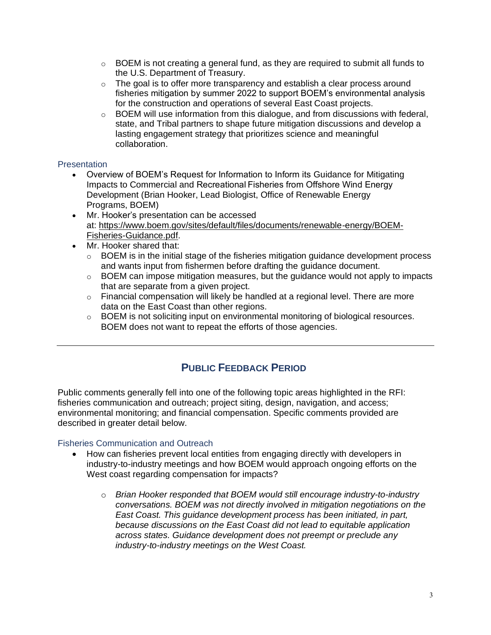- $\circ$  BOEM is not creating a general fund, as they are required to submit all funds to the U.S. Department of Treasury.
- $\circ$  The goal is to offer more transparency and establish a clear process around fisheries mitigation by summer 2022 to support BOEM's environmental analysis for the construction and operations of several East Coast projects.
- $\circ$  BOEM will use information from this dialogue, and from discussions with federal, state, and Tribal partners to shape future mitigation discussions and develop a lasting engagement strategy that prioritizes science and meaningful collaboration.

### **Presentation**

- Overview of BOEM's Request for Information to Inform its Guidance for Mitigating Impacts to Commercial and Recreational Fisheries from Offshore Wind Energy Development (Brian Hooker, Lead Biologist, Office of Renewable Energy Programs, BOEM)
- Mr. Hooker's presentation can be accessed at: [https://www.boem.gov/sites/default/files/documents/renewable-energy/BOEM-](https://www.boem.gov/sites/default/files/documents/renewable-energy/BOEM-Fisheries-Guidance.pdf)[Fisheries-Guidance.pdf.](https://www.boem.gov/sites/default/files/documents/renewable-energy/BOEM-Fisheries-Guidance.pdf)
- Mr. Hooker shared that:
	- $\circ$  BOEM is in the initial stage of the fisheries mitigation guidance development process and wants input from fishermen before drafting the guidance document.
	- $\circ$  BOEM can impose mitigation measures, but the guidance would not apply to impacts that are separate from a given project.
	- $\circ$  Financial compensation will likely be handled at a regional level. There are more data on the East Coast than other regions.
	- o BOEM is not soliciting input on environmental monitoring of biological resources. BOEM does not want to repeat the efforts of those agencies.

# **PUBLIC FEEDBACK PERIOD**

Public comments generally fell into one of the following topic areas highlighted in the RFI: fisheries communication and outreach; project siting, design, navigation, and access; environmental monitoring; and financial compensation. Specific comments provided are described in greater detail below.

### Fisheries Communication and Outreach

- How can fisheries prevent local entities from engaging directly with developers in industry-to-industry meetings and how BOEM would approach ongoing efforts on the West coast regarding compensation for impacts?
	- o *Brian Hooker responded that BOEM would still encourage industry-to-industry conversations. BOEM was not directly involved in mitigation negotiations on the East Coast. This guidance development process has been initiated, in part, because discussions on the East Coast did not lead to equitable application across states. Guidance development does not preempt or preclude any industry-to-industry meetings on the West Coast.*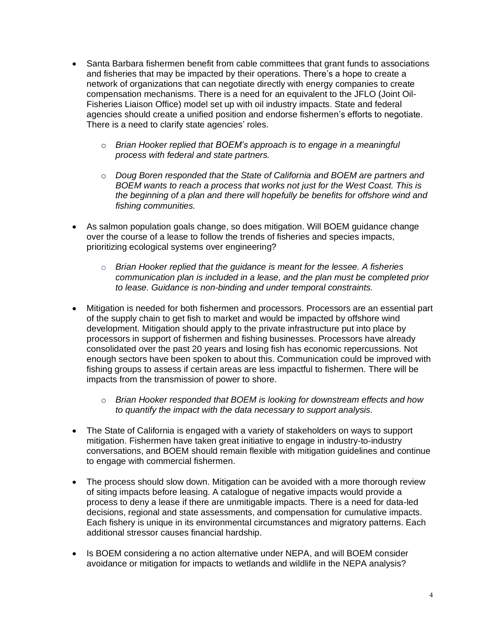- Santa Barbara fishermen benefit from cable committees that grant funds to associations and fisheries that may be impacted by their operations. There's a hope to create a network of organizations that can negotiate directly with energy companies to create compensation mechanisms. There is a need for an equivalent to the JFLO (Joint Oil-Fisheries Liaison Office) model set up with oil industry impacts. State and federal agencies should create a unified position and endorse fishermen's efforts to negotiate. There is a need to clarify state agencies' roles.
	- o *Brian Hooker replied that BOEM's approach is to engage in a meaningful process with federal and state partners.*
	- o *Doug Boren responded that the State of California and BOEM are partners and BOEM wants to reach a process that works not just for the West Coast. This is the beginning of a plan and there will hopefully be benefits for offshore wind and fishing communities.*
- As salmon population goals change, so does mitigation. Will BOEM guidance change over the course of a lease to follow the trends of fisheries and species impacts, prioritizing ecological systems over engineering?
	- o *Brian Hooker replied that the guidance is meant for the lessee. A fisheries communication plan is included in a lease, and the plan must be completed prior to lease. Guidance is non-binding and under temporal constraints.*
- Mitigation is needed for both fishermen and processors. Processors are an essential part of the supply chain to get fish to market and would be impacted by offshore wind development. Mitigation should apply to the private infrastructure put into place by processors in support of fishermen and fishing businesses. Processors have already consolidated over the past 20 years and losing fish has economic repercussions. Not enough sectors have been spoken to about this. Communication could be improved with fishing groups to assess if certain areas are less impactful to fishermen. There will be impacts from the transmission of power to shore.
	- o *Brian Hooker responded that BOEM is looking for downstream effects and how to quantify the impact with the data necessary to support analysis.*
- The State of California is engaged with a variety of stakeholders on ways to support mitigation. Fishermen have taken great initiative to engage in industry-to-industry conversations, and BOEM should remain flexible with mitigation guidelines and continue to engage with commercial fishermen.
- The process should slow down. Mitigation can be avoided with a more thorough review of siting impacts before leasing. A catalogue of negative impacts would provide a process to deny a lease if there are unmitigable impacts. There is a need for data-led decisions, regional and state assessments, and compensation for cumulative impacts. Each fishery is unique in its environmental circumstances and migratory patterns. Each additional stressor causes financial hardship.
- Is BOEM considering a no action alternative under NEPA, and will BOEM consider avoidance or mitigation for impacts to wetlands and wildlife in the NEPA analysis?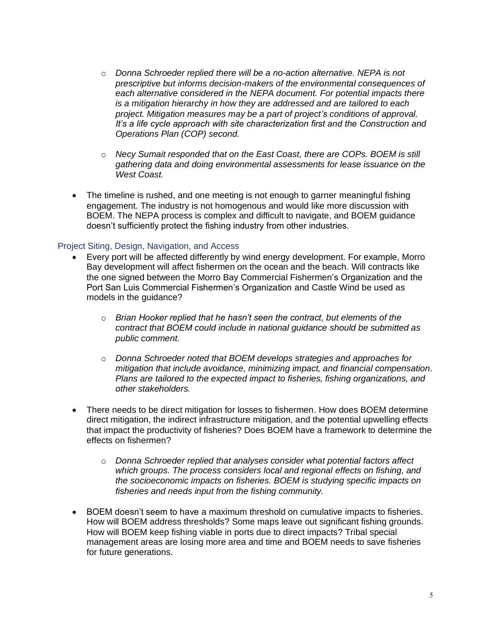- o *Donna Schroeder replied there will be a no-action alternative. NEPA is not prescriptive but informs decision-makers of the environmental consequences of each alternative considered in the NEPA document. For potential impacts there is a mitigation hierarchy in how they are addressed and are tailored to each project. Mitigation measures may be a part of project's conditions of approval. It's a life cycle approach with site characterization first and the Construction and Operations Plan (COP) second.*
- o *Necy Sumait responded that on the East Coast, there are COPs. BOEM is still gathering data and doing environmental assessments for lease issuance on the West Coast.*
- The timeline is rushed, and one meeting is not enough to garner meaningful fishing engagement. The industry is not homogenous and would like more discussion with BOEM. The NEPA process is complex and difficult to navigate, and BOEM guidance doesn't sufficiently protect the fishing industry from other industries.

#### Project Siting, Design, Navigation, and Access

- Every port will be affected differently by wind energy development. For example, Morro Bay development will affect fishermen on the ocean and the beach. Will contracts like the one signed between the Morro Bay Commercial Fishermen's Organization and the Port San Luis Commercial Fishermen's Organization and Castle Wind be used as models in the guidance?
	- o *Brian Hooker replied that he hasn't seen the contract, but elements of the contract that BOEM could include in national guidance should be submitted as public comment.*
	- o *Donna Schroeder noted that BOEM develops strategies and approaches for mitigation that include avoidance, minimizing impact, and financial compensation. Plans are tailored to the expected impact to fisheries, fishing organizations, and other stakeholders.*
- There needs to be direct mitigation for losses to fishermen. How does BOEM determine direct mitigation, the indirect infrastructure mitigation, and the potential upwelling effects that impact the productivity of fisheries? Does BOEM have a framework to determine the effects on fishermen?
	- o *Donna Schroeder replied that analyses consider what potential factors affect which groups. The process considers local and regional effects on fishing, and the socioeconomic impacts on fisheries. BOEM is studying specific impacts on fisheries and needs input from the fishing community.*
- BOEM doesn't seem to have a maximum threshold on cumulative impacts to fisheries. How will BOEM address thresholds? Some maps leave out significant fishing grounds. How will BOEM keep fishing viable in ports due to direct impacts? Tribal special management areas are losing more area and time and BOEM needs to save fisheries for future generations.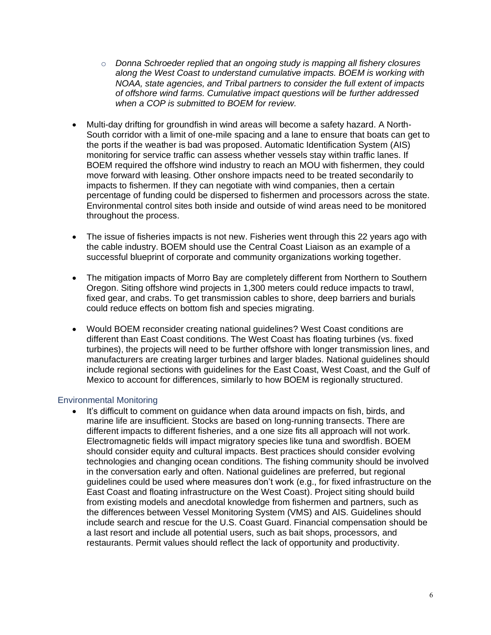- o *Donna Schroeder replied that an ongoing study is mapping all fishery closures along the West Coast to understand cumulative impacts. BOEM is working with NOAA, state agencies, and Tribal partners to consider the full extent of impacts of offshore wind farms. Cumulative impact questions will be further addressed when a COP is submitted to BOEM for review.*
- Multi-day drifting for groundfish in wind areas will become a safety hazard. A North-South corridor with a limit of one-mile spacing and a lane to ensure that boats can get to the ports if the weather is bad was proposed. Automatic Identification System (AIS) monitoring for service traffic can assess whether vessels stay within traffic lanes. If BOEM required the offshore wind industry to reach an MOU with fishermen, they could move forward with leasing. Other onshore impacts need to be treated secondarily to impacts to fishermen. If they can negotiate with wind companies, then a certain percentage of funding could be dispersed to fishermen and processors across the state. Environmental control sites both inside and outside of wind areas need to be monitored throughout the process.
- The issue of fisheries impacts is not new. Fisheries went through this 22 years ago with the cable industry. BOEM should use the Central Coast Liaison as an example of a successful blueprint of corporate and community organizations working together.
- The mitigation impacts of Morro Bay are completely different from Northern to Southern Oregon. Siting offshore wind projects in 1,300 meters could reduce impacts to trawl, fixed gear, and crabs. To get transmission cables to shore, deep barriers and burials could reduce effects on bottom fish and species migrating.
- Would BOEM reconsider creating national guidelines? West Coast conditions are different than East Coast conditions. The West Coast has floating turbines (vs. fixed turbines), the projects will need to be further offshore with longer transmission lines, and manufacturers are creating larger turbines and larger blades. National guidelines should include regional sections with guidelines for the East Coast, West Coast, and the Gulf of Mexico to account for differences, similarly to how BOEM is regionally structured.

#### Environmental Monitoring

It's difficult to comment on guidance when data around impacts on fish, birds, and marine life are insufficient. Stocks are based on long-running transects. There are different impacts to different fisheries, and a one size fits all approach will not work. Electromagnetic fields will impact migratory species like tuna and swordfish. BOEM should consider equity and cultural impacts. Best practices should consider evolving technologies and changing ocean conditions. The fishing community should be involved in the conversation early and often. National guidelines are preferred, but regional guidelines could be used where measures don't work (e.g., for fixed infrastructure on the East Coast and floating infrastructure on the West Coast). Project siting should build from existing models and anecdotal knowledge from fishermen and partners, such as the differences between Vessel Monitoring System (VMS) and AIS. Guidelines should include search and rescue for the U.S. Coast Guard. Financial compensation should be a last resort and include all potential users, such as bait shops, processors, and restaurants. Permit values should reflect the lack of opportunity and productivity.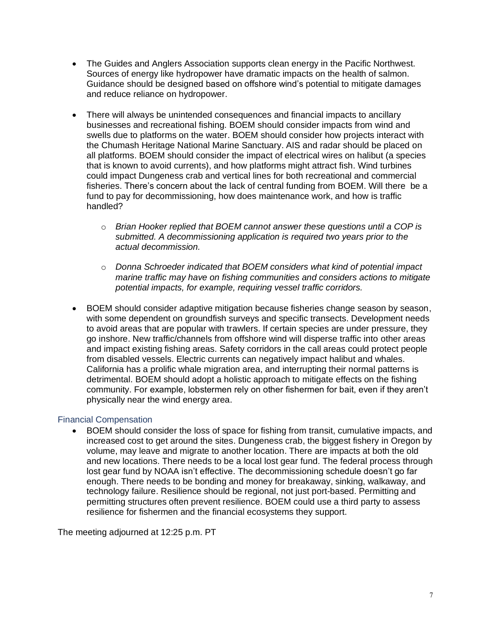- The Guides and Anglers Association supports clean energy in the Pacific Northwest. Sources of energy like hydropower have dramatic impacts on the health of salmon. Guidance should be designed based on offshore wind's potential to mitigate damages and reduce reliance on hydropower.
- There will always be unintended consequences and financial impacts to ancillary businesses and recreational fishing. BOEM should consider impacts from wind and swells due to platforms on the water. BOEM should consider how projects interact with the Chumash Heritage National Marine Sanctuary. AIS and radar should be placed on all platforms. BOEM should consider the impact of electrical wires on halibut (a species that is known to avoid currents), and how platforms might attract fish. Wind turbines could impact Dungeness crab and vertical lines for both recreational and commercial fisheries. There's concern about the lack of central funding from BOEM. Will there be a fund to pay for decommissioning, how does maintenance work, and how is traffic handled?
	- o *Brian Hooker replied that BOEM cannot answer these questions until a COP is submitted. A decommissioning application is required two years prior to the actual decommission.*
	- o *Donna Schroeder indicated that BOEM considers what kind of potential impact marine traffic may have on fishing communities and considers actions to mitigate potential impacts, for example, requiring vessel traffic corridors.*
- BOEM should consider adaptive mitigation because fisheries change season by season, with some dependent on groundfish surveys and specific transects. Development needs to avoid areas that are popular with trawlers. If certain species are under pressure, they go inshore. New traffic/channels from offshore wind will disperse traffic into other areas and impact existing fishing areas. Safety corridors in the call areas could protect people from disabled vessels. Electric currents can negatively impact halibut and whales. California has a prolific whale migration area, and interrupting their normal patterns is detrimental. BOEM should adopt a holistic approach to mitigate effects on the fishing community. For example, lobstermen rely on other fishermen for bait, even if they aren't physically near the wind energy area.

#### Financial Compensation

• BOEM should consider the loss of space for fishing from transit, cumulative impacts, and increased cost to get around the sites. Dungeness crab, the biggest fishery in Oregon by volume, may leave and migrate to another location. There are impacts at both the old and new locations. There needs to be a local lost gear fund. The federal process through lost gear fund by NOAA isn't effective. The decommissioning schedule doesn't go far enough. There needs to be bonding and money for breakaway, sinking, walkaway, and technology failure. Resilience should be regional, not just port-based. Permitting and permitting structures often prevent resilience. BOEM could use a third party to assess resilience for fishermen and the financial ecosystems they support.

The meeting adjourned at 12:25 p.m. PT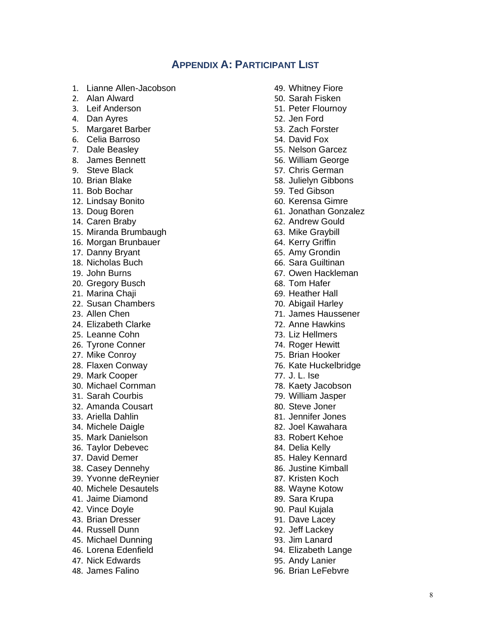## **APPENDIX A: PARTICIPANT LIST**

- 1. Lianne Allen-Jacobson
- 2. Alan Alward
- 3. Leif Anderson
- 4. Dan Ayres
- 5. Margaret Barber
- 6. Celia Barroso
- 7. Dale Beasley
- 8. James Bennett
- 9. Steve Black
- 10. Brian Blake
- 11. Bob Bochar
- 12. Lindsay Bonito
- 13. Doug Boren
- 14. Caren Braby
- 15. Miranda Brumbaugh
- 16. Morgan Brunbauer
- 17. Danny Bryant
- 18. Nicholas Buch
- 19. John Burns
- 20. Gregory Busch
- 21. Marina Chaji
- 22. Susan Chambers
- 23. Allen Chen
- 24. Elizabeth Clarke
- 25. Leanne Cohn
- 26. Tyrone Conner
- 27. Mike Conroy
- 28. Flaxen Conway
- 29. Mark Cooper
- 30. Michael Cornman
- 31. Sarah Courbis
- 32. Amanda Cousart
- 33. Ariella Dahlin
- 34. Michele Daigle
- 35. Mark Danielson
- 36. Taylor Debevec
- 37. David Demer
- 38. Casey Dennehy
- 39. Yvonne deReynier
- 40. Michele Desautels
- 41. Jaime Diamond
- 42. Vince Doyle
- 43. Brian Dresser
- 44. Russell Dunn
- 45. Michael Dunning
- 46. Lorena Edenfield
- 47. Nick Edwards
- 48. James Falino
- 49. Whitney Fiore
- 50. Sarah Fisken
- 51. Peter Flournoy
- 52. Jen Ford
- 53. Zach Forster
- 54. David Fox
- 55. Nelson Garcez
- 56. William George
- 57. Chris German
- 58. Julielyn Gibbons
- 59. Ted Gibson
- 60. Kerensa Gimre
- 61. Jonathan Gonzalez
- 62. Andrew Gould
- 63. Mike Graybill
- 64. Kerry Griffin
- 65. Amy Grondin
- 66. Sara Guiltinan
- 67. Owen Hackleman
- 68. Tom Hafer
- 69. Heather Hall
- 70. Abigail Harley
- 71. James Haussener
- 72. Anne Hawkins
- 73. Liz Hellmers
- 74. Roger Hewitt
- 75. Brian Hooker
- 76. Kate Huckelbridge
- 77. J. L. Ise
- 78. Kaety Jacobson
- 79. William Jasper
- 80. Steve Joner
- 81. Jennifer Jones
- 82. Joel Kawahara
- 83. Robert Kehoe
- 84. Delia Kelly
- 85. Haley Kennard
- 86. Justine Kimball
- 87. Kristen Koch
- 88. Wayne Kotow
- 89. Sara Krupa
- 90. Paul Kujala
- 91. Dave Lacey
- 92. Jeff Lackey
- 93. Jim Lanard
- 94. Elizabeth Lange
- 95. Andy Lanier
- 96. Brian LeFebvre